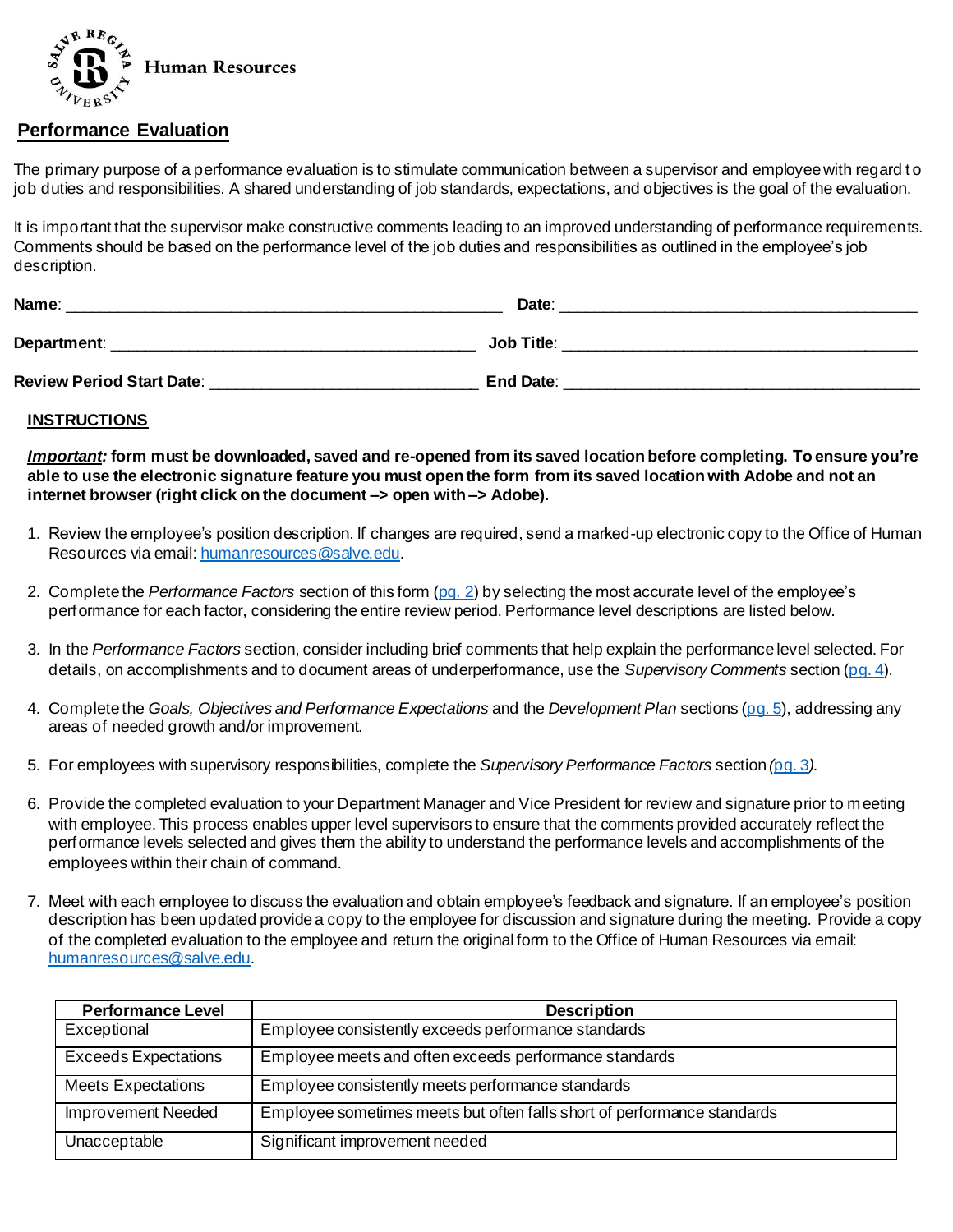

## **Performance Evaluation**

The primary purpose of a performance evaluation is to stimulate communication between a supervisor and employee with regard to job duties and responsibilities. A shared understanding of job standards, expectations, and objectives is the goal of the evaluation.

It is important that the supervisor make constructive comments leading to an improved understanding of performance requirements. Comments should be based on the performance level of the job duties and responsibilities as outlined in the employee's job description.

| Name:                            | Date:             |
|----------------------------------|-------------------|
| Department:                      | <b>Job Title:</b> |
| <b>Review Period Start Date:</b> | <b>End Date:</b>  |

## **INSTRUCTIONS**

*Important:* **form must be downloaded, saved and re-opened from its saved location before completing. To ensure you're able to use the electronic signature feature you must open the form from its saved location with Adobe and not an internet browser (right click on the document –> open with –> Adobe).**

- 1. Review the employee's position description. If changes are required, send a marked-up electronic copy to the Office of Human Resources via email[: humanresources@salve.edu](mailto:humanresources@salve.edu).
- 2. Complete the *Performance Factors* section of this for[m \(pg. 2\) b](#page-1-0)y selecting the most accurate level of the employee's performance for each factor, considering the entire review period. Performance level descriptions are listed below.
- 3. In the *Performance Factors* section, consider including brief comments that help explain the performance level selected. For details, on accomplishments and to document areas of underperformance, use the *Supervisory Comments* section [\(pg. 4\)](#page-3-0).
- 4. Complete the *Goals, Objectives and Performance Expectations* and the *Development Plan* sections [\(pg. 5](#page-4-0)), addressing any areas of needed growth and/or improvement.
- 5. For employees with supervisory responsibilities, complete the *Supervisory Performance Factors* section *(*[pg. 3](#page-2-0)*).*
- 6. Provide the completed evaluation to your Department Manager and Vice President for review and signature prior to meeting with employee. This process enables upper level supervisors to ensure that the comments provided accurately reflect the performance levels selected and gives them the ability to understand the performance levels and accomplishments of the employees within their chain of command.
- 7. Meet with each employee to discuss the evaluation and obtain employee's feedback and signature. If an employee's position description has been updated provide a copy to the employee for discussion and signature during the meeting. Provide a copy of the completed evaluation to the employee and return the original form to the Office of Human Resources via email: [humanresources@salve.edu](mailto:humanresources@salve.edu).

| <b>Performance Level</b>    | <b>Description</b>                                                      |
|-----------------------------|-------------------------------------------------------------------------|
| Exceptional                 | Employee consistently exceeds performance standards                     |
| <b>Exceeds Expectations</b> | Employee meets and often exceeds performance standards                  |
| <b>Meets Expectations</b>   | Employee consistently meets performance standards                       |
| <b>Improvement Needed</b>   | Employee sometimes meets but often falls short of performance standards |
| Unacceptable                | Significant improvement needed                                          |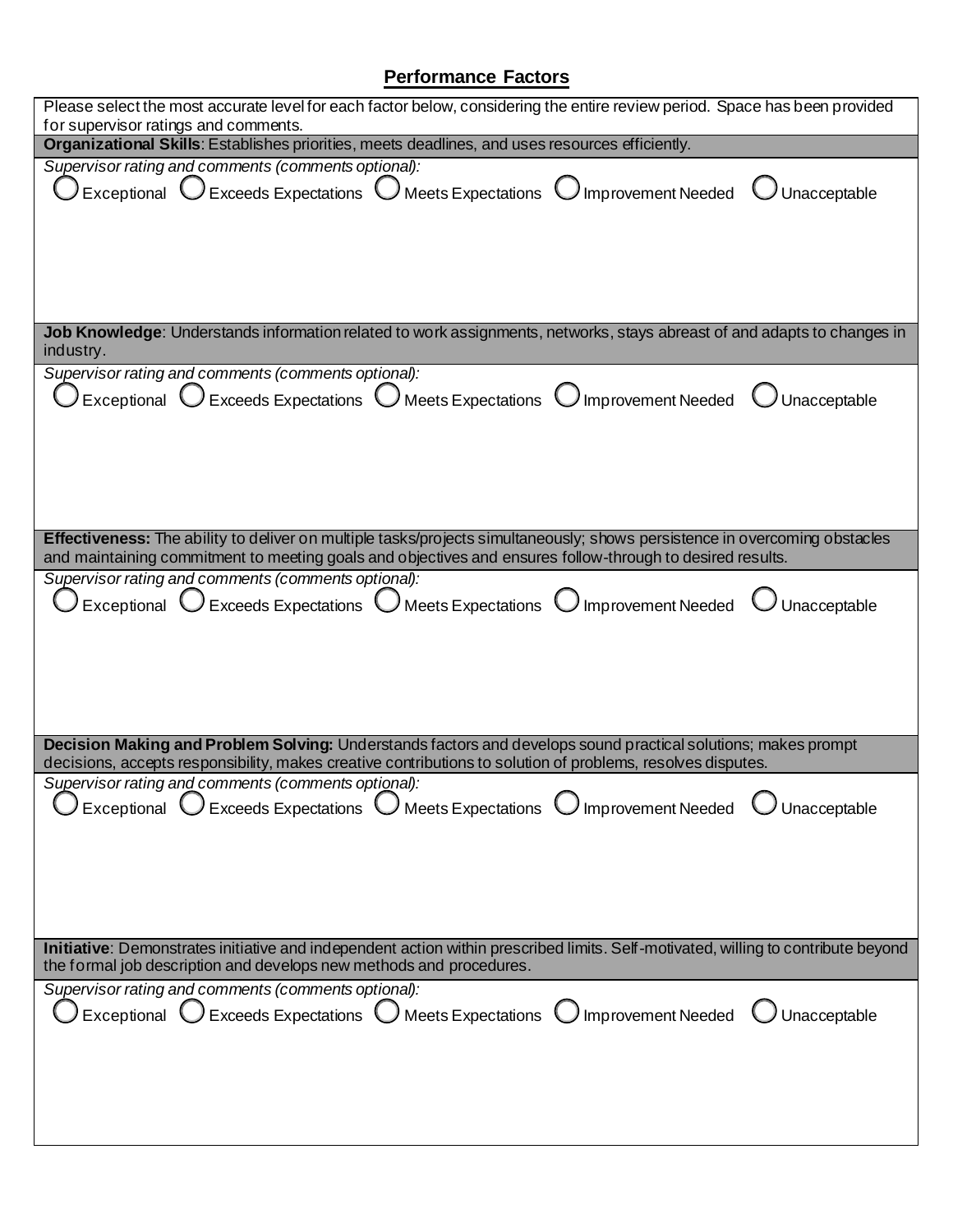## **Performance Factors**

<span id="page-1-0"></span>

| Please select the most accurate level for each factor below, considering the entire review period. Space has been provided<br>for supervisor ratings and comments.                                                                      |  |  |  |
|-----------------------------------------------------------------------------------------------------------------------------------------------------------------------------------------------------------------------------------------|--|--|--|
| Organizational Skills: Establishes priorities, meets deadlines, and uses resources efficiently.                                                                                                                                         |  |  |  |
| Supervisor rating and comments (comments optional):                                                                                                                                                                                     |  |  |  |
| Exceptional $\bigcup$ Exceeds Expectations $\bigcup$ Meets Expectations $\bigcup$ Improvement Needed<br>Unacceptable                                                                                                                    |  |  |  |
|                                                                                                                                                                                                                                         |  |  |  |
|                                                                                                                                                                                                                                         |  |  |  |
|                                                                                                                                                                                                                                         |  |  |  |
|                                                                                                                                                                                                                                         |  |  |  |
|                                                                                                                                                                                                                                         |  |  |  |
| Job Knowledge: Understands information related to work assignments, networks, stays abreast of and adapts to changes in                                                                                                                 |  |  |  |
| industry.<br>Supervisor rating and comments (comments optional):                                                                                                                                                                        |  |  |  |
|                                                                                                                                                                                                                                         |  |  |  |
| Exceptional $\bigcirc$ Exceeds Expectations $\bigcirc$ Meets Expectations $\bigcirc$ Improvement Needed<br>Unacceptable                                                                                                                 |  |  |  |
|                                                                                                                                                                                                                                         |  |  |  |
|                                                                                                                                                                                                                                         |  |  |  |
|                                                                                                                                                                                                                                         |  |  |  |
|                                                                                                                                                                                                                                         |  |  |  |
|                                                                                                                                                                                                                                         |  |  |  |
| Effectiveness: The ability to deliver on multiple tasks/projects simultaneously; shows persistence in overcoming obstacles<br>and maintaining commitment to meeting goals and objectives and ensures follow-through to desired results. |  |  |  |
| Supervisor rating and comments (comments optional):                                                                                                                                                                                     |  |  |  |
| Exceptional $\bigcup$ Exceeds Expectations $\bigcup$ Meets Expectations $\bigcup$ Improvement Needed<br>Unacceptable                                                                                                                    |  |  |  |
|                                                                                                                                                                                                                                         |  |  |  |
|                                                                                                                                                                                                                                         |  |  |  |
|                                                                                                                                                                                                                                         |  |  |  |
|                                                                                                                                                                                                                                         |  |  |  |
|                                                                                                                                                                                                                                         |  |  |  |
| Decision Making and Problem Solving: Understands factors and develops sound practical solutions; makes prompt                                                                                                                           |  |  |  |
| decisions, accepts responsibility, makes creative contributions to solution of problems, resolves disputes.                                                                                                                             |  |  |  |
| Supervisor rating and comments (comments optional):                                                                                                                                                                                     |  |  |  |
| Exceptional $\bigcirc$ Exceeds Expectations $\bigcirc$ Meets Expectations $\bigcirc$ Improvement Needed<br>Unacceptable                                                                                                                 |  |  |  |
|                                                                                                                                                                                                                                         |  |  |  |
|                                                                                                                                                                                                                                         |  |  |  |
|                                                                                                                                                                                                                                         |  |  |  |
|                                                                                                                                                                                                                                         |  |  |  |
|                                                                                                                                                                                                                                         |  |  |  |
| Initiative: Demonstrates initiative and independent action within prescribed limits. Self-motivated, willing to contribute beyond<br>the formal job description and develops new methods and procedures.                                |  |  |  |
| Supervisor rating and comments (comments optional):                                                                                                                                                                                     |  |  |  |
| Exceptional $\bigcup$ Exceeds Expectations $\bigcup$ Meets Expectations $\bigcup$ Improvement Needed<br>Unacceptable                                                                                                                    |  |  |  |
|                                                                                                                                                                                                                                         |  |  |  |
|                                                                                                                                                                                                                                         |  |  |  |
|                                                                                                                                                                                                                                         |  |  |  |
|                                                                                                                                                                                                                                         |  |  |  |
|                                                                                                                                                                                                                                         |  |  |  |
|                                                                                                                                                                                                                                         |  |  |  |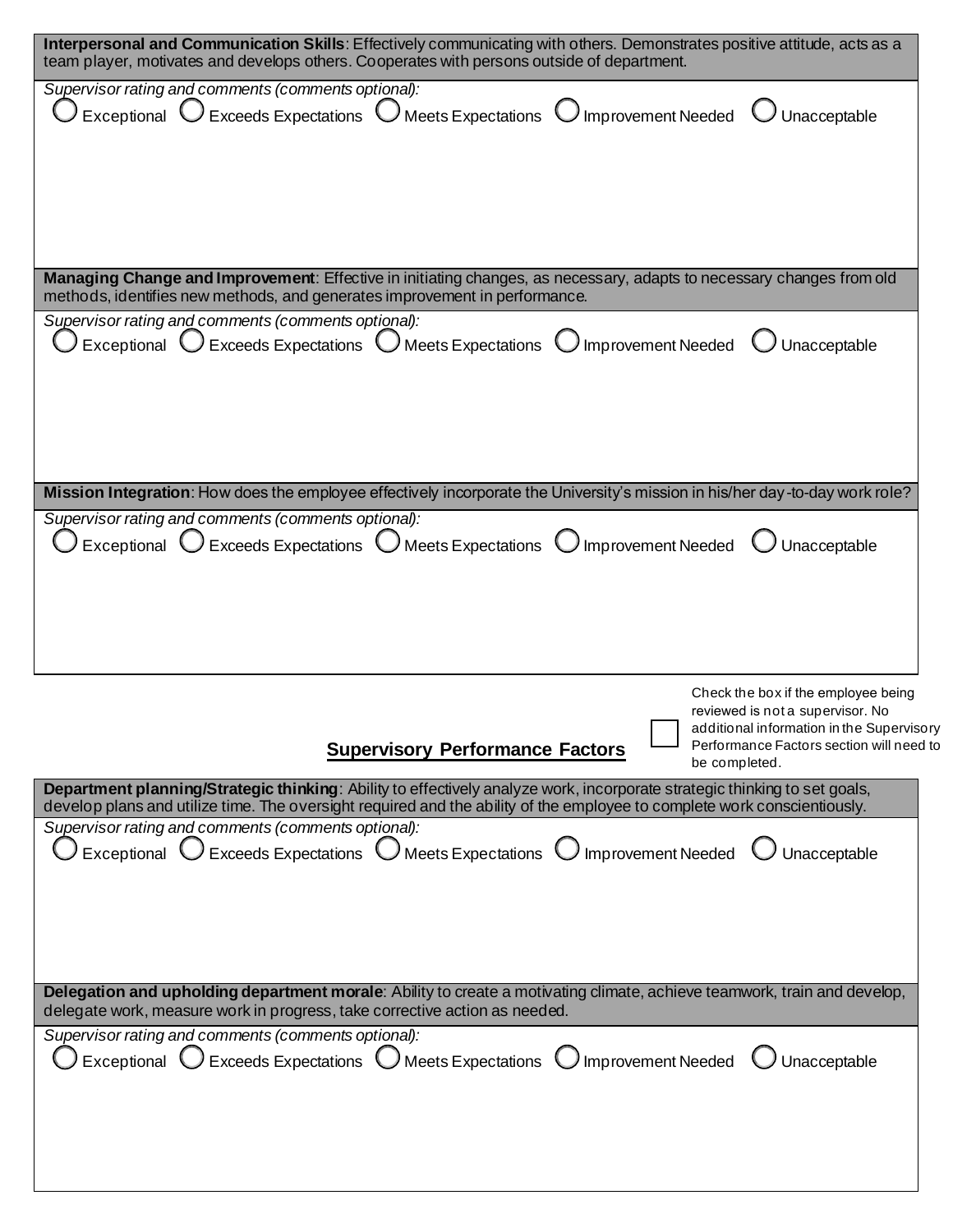<span id="page-2-0"></span>

| Interpersonal and Communication Skills: Effectively communicating with others. Demonstrates positive attitude, acts as a                                                                               |
|--------------------------------------------------------------------------------------------------------------------------------------------------------------------------------------------------------|
| team player, motivates and develops others. Cooperates with persons outside of department.                                                                                                             |
| Supervisor rating and comments (comments optional):<br>Exceptional $\bigcirc$ Exceeds Expectations $\bigcirc$ Meets Expectations $\bigcirc$ Improvement Needed                                         |
| $\bigcup$ Unacceptable                                                                                                                                                                                 |
|                                                                                                                                                                                                        |
|                                                                                                                                                                                                        |
|                                                                                                                                                                                                        |
|                                                                                                                                                                                                        |
|                                                                                                                                                                                                        |
| Managing Change and Improvement: Effective in initiating changes, as necessary, adapts to necessary changes from old<br>methods, identifies new methods, and generates improvement in performance.     |
| Supervisor rating and comments (comments optional):                                                                                                                                                    |
| Exceptional $\bigcup$ Exceeds Expectations $\bigcup$ Meets Expectations $\bigcup$ Improvement Needed<br>Unacceptable                                                                                   |
|                                                                                                                                                                                                        |
|                                                                                                                                                                                                        |
|                                                                                                                                                                                                        |
|                                                                                                                                                                                                        |
|                                                                                                                                                                                                        |
| Mission Integration: How does the employee effectively incorporate the University's mission in his/her day-to-day work role?                                                                           |
| Supervisor rating and comments (comments optional):                                                                                                                                                    |
| Exceptional $\bigcirc$ Exceeds Expectations $\bigcirc$ Meets Expectations $\bigcirc$ Improvement Needed $\bigcirc$ Unacceptable                                                                        |
|                                                                                                                                                                                                        |
|                                                                                                                                                                                                        |
|                                                                                                                                                                                                        |
|                                                                                                                                                                                                        |
| Check the box if the employee being                                                                                                                                                                    |
| reviewed is not a supervisor. No                                                                                                                                                                       |
| additional information in the Supervisory<br>Performance Factors section will need to<br><b>Supervisory Performance Factors</b>                                                                        |
| be completed.                                                                                                                                                                                          |
| Department planning/Strategic thinking: Ability to effectively analyze work, incorporate strategic thinking to set goals,                                                                              |
| develop plans and utilize time. The oversight required and the ability of the employee to complete work conscientiously.<br>Supervisor rating and comments (comments optional):                        |
| Exceptional $\bigcup$ Exceeds Expectations $\bigcup$ Meets Expectations $\bigcup$ Improvement Needed<br>Unacceptable                                                                                   |
|                                                                                                                                                                                                        |
|                                                                                                                                                                                                        |
|                                                                                                                                                                                                        |
|                                                                                                                                                                                                        |
|                                                                                                                                                                                                        |
|                                                                                                                                                                                                        |
| Delegation and upholding department morale: Ability to create a motivating climate, achieve teamwork, train and develop,<br>delegate work, measure work in progress, take corrective action as needed. |
| Supervisor rating and comments (comments optional):                                                                                                                                                    |
| $Exceeds$ Expectations $\bigcup$ Meets Expectations<br>J Improvement Needed<br>Exceptional<br>Unacceptable                                                                                             |
|                                                                                                                                                                                                        |
|                                                                                                                                                                                                        |
|                                                                                                                                                                                                        |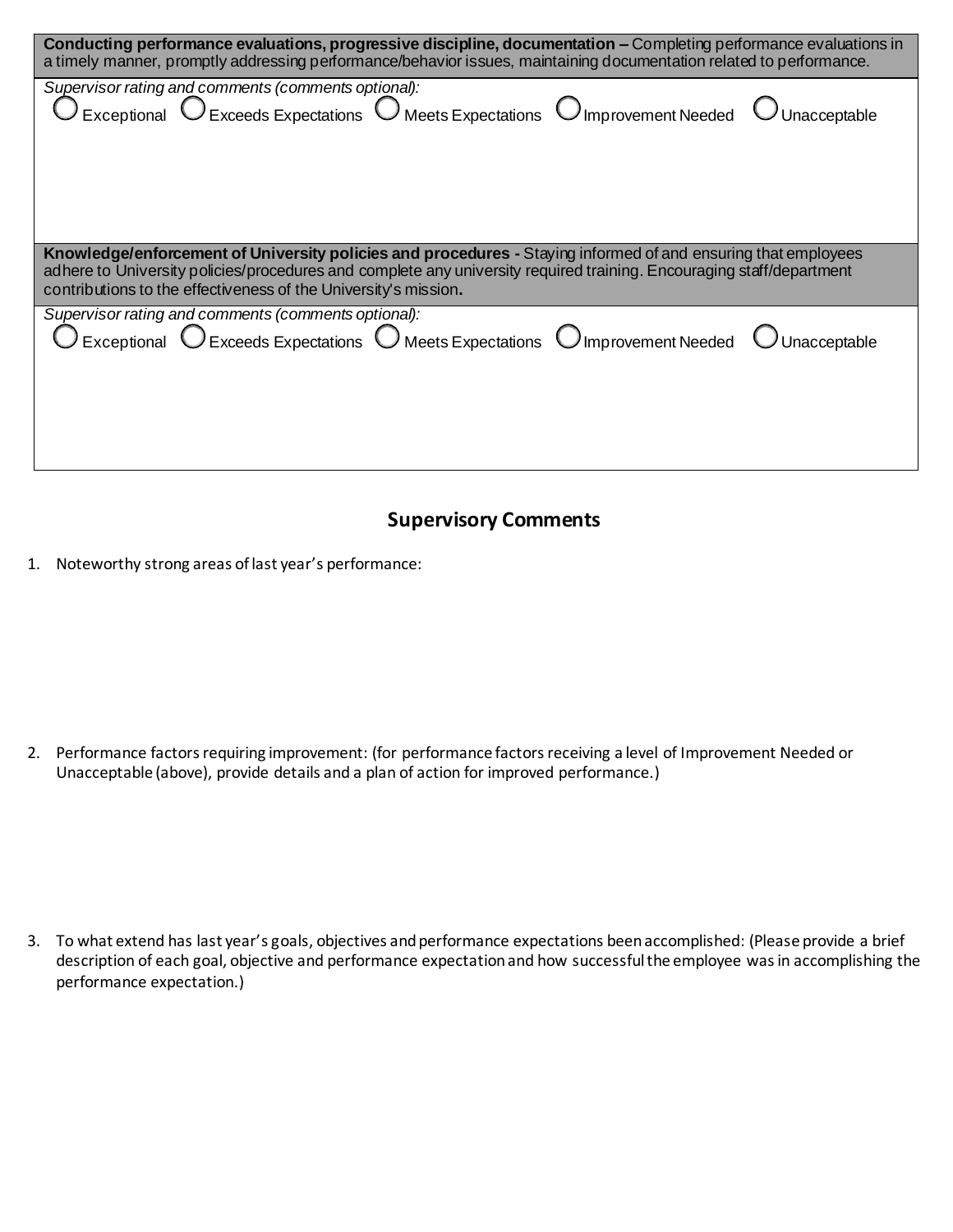<span id="page-3-0"></span>

| Conducting performance evaluations, progressive discipline, documentation – Completing performance evaluations in<br>a timely manner, promptly addressing performance/behavior issues, maintaining documentation related to performance.                                                                 |  |  |  |  |
|----------------------------------------------------------------------------------------------------------------------------------------------------------------------------------------------------------------------------------------------------------------------------------------------------------|--|--|--|--|
| Supervisor rating and comments (comments optional):<br>$\bigcirc$ Exceptional $\bigcirc$ Exceeds Expectations $\bigcirc$ Meets Expectations $\bigcirc$ Improvement Needed $\bigcirc$ Unacceptable                                                                                                        |  |  |  |  |
| Knowledge/enforcement of University policies and procedures - Staying informed of and ensuring that employees<br>adhere to University policies/procedures and complete any university required training. Encouraging staff/department<br>contributions to the effectiveness of the University's mission. |  |  |  |  |
| Supervisor rating and comments (comments optional):<br>$\bigcirc$ Exceptional $\bigcirc$ Exceeds Expectations $\bigcirc$ Meets Expectations $\bigcirc$ Improvement Needed $\bigcirc$ Unacceptable                                                                                                        |  |  |  |  |

## **Supervisory Comments**

1. Noteworthy strong areas of last year's performance:

2. Performance factors requiring improvement: (for performance factors receiving a level of Improvement Needed or Unacceptable (above), provide details and a plan of action for improved performance.)

3. To what extend has last year's goals, objectives and performance expectations been accomplished: (Please provide a brief description of each goal, objective and performance expectation and how successful the employee was in accomplishing the performance expectation.)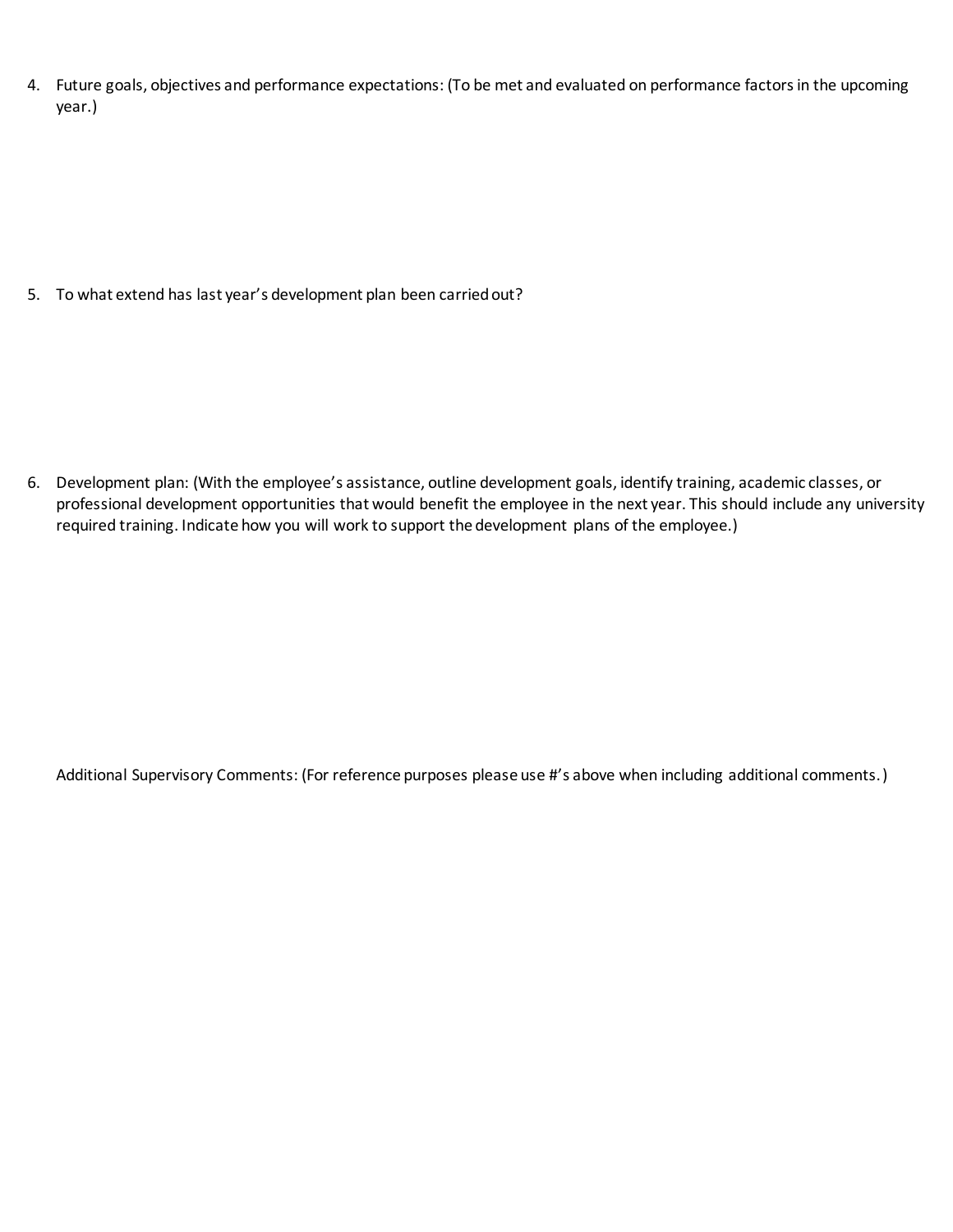<span id="page-4-0"></span>4. Future goals, objectives and performance expectations: (To be met and evaluated on performance factors in the upcoming year.)

5. To what extend has last year's development plan been carried out?

6. Development plan: (With the employee's assistance, outline development goals, identify training, academic classes, or professional development opportunities that would benefit the employee in the next year. This should include any university required training. Indicate how you will work to support the development plans of the employee.)

Additional Supervisory Comments: (For reference purposes please use #'s above when including additional comments.)